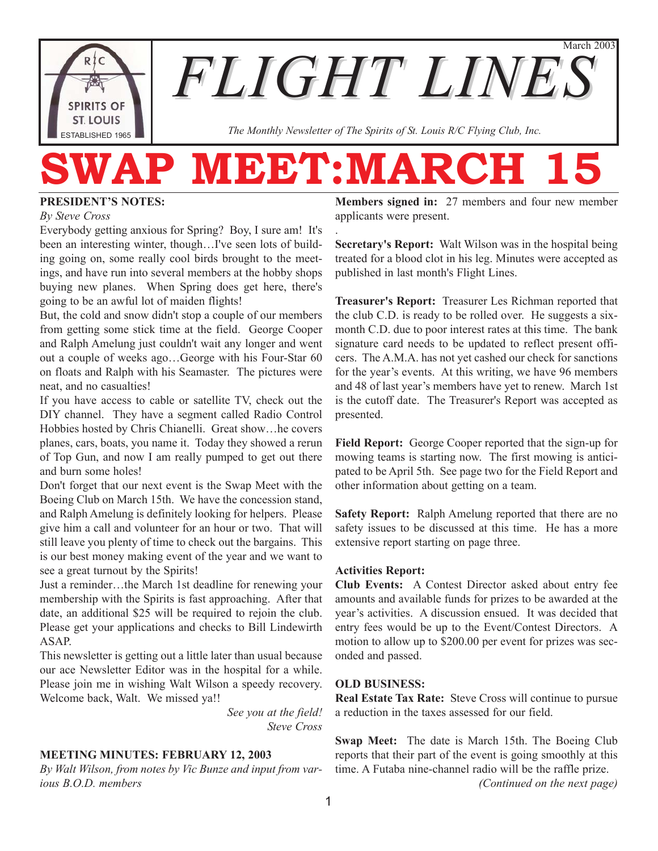**SPIRITS OF ST. LOUIS** ESTABLISHED 1965

March 2003 *FLIGHT LINES*

*The Monthly Newsletter of The Spirits of St. Louis R/C Flying Club, Inc.*

# WAP MEET:MARCH

.

#### **PRESIDENT'S NOTES:**

*By Steve Cross*

Everybody getting anxious for Spring? Boy, I sure am! It's been an interesting winter, though…I've seen lots of building going on, some really cool birds brought to the meetings, and have run into several members at the hobby shops buying new planes. When Spring does get here, there's going to be an awful lot of maiden flights!

But, the cold and snow didn't stop a couple of our members from getting some stick time at the field. George Cooper and Ralph Amelung just couldn't wait any longer and went out a couple of weeks ago…George with his Four-Star 60 on floats and Ralph with his Seamaster. The pictures were neat, and no casualties!

If you have access to cable or satellite TV, check out the DIY channel. They have a segment called Radio Control Hobbies hosted by Chris Chianelli. Great show…he covers planes, cars, boats, you name it. Today they showed a rerun of Top Gun, and now I am really pumped to get out there and burn some holes!

Don't forget that our next event is the Swap Meet with the Boeing Club on March 15th. We have the concession stand, and Ralph Amelung is definitely looking for helpers. Please give him a call and volunteer for an hour or two. That will still leave you plenty of time to check out the bargains. This is our best money making event of the year and we want to see a great turnout by the Spirits!

Just a reminder…the March 1st deadline for renewing your membership with the Spirits is fast approaching. After that date, an additional \$25 will be required to rejoin the club. Please get your applications and checks to Bill Lindewirth ASAP.

This newsletter is getting out a little later than usual because our ace Newsletter Editor was in the hospital for a while. Please join me in wishing Walt Wilson a speedy recovery. Welcome back, Walt. We missed ya!!

> *See you at the field! Steve Cross*

#### **MEETING MINUTES: FEBRUARY 12, 2003**

*By Walt Wilson, from notes by Vic Bunze and input from various B.O.D. members*

**Members signed in:** 27 members and four new member applicants were present.

**Secretary's Report:** Walt Wilson was in the hospital being treated for a blood clot in his leg. Minutes were accepted as published in last month's Flight Lines.

**Treasurer's Report:** Treasurer Les Richman reported that the club C.D. is ready to be rolled over. He suggests a sixmonth C.D. due to poor interest rates at this time. The bank signature card needs to be updated to reflect present officers. The A.M.A. has not yet cashed our check for sanctions for the year's events. At this writing, we have 96 members and 48 of last year's members have yet to renew. March 1st is the cutoff date. The Treasurer's Report was accepted as presented.

**Field Report:** George Cooper reported that the sign-up for mowing teams is starting now. The first mowing is anticipated to be April 5th. See page two for the Field Report and other information about getting on a team.

**Safety Report:** Ralph Amelung reported that there are no safety issues to be discussed at this time. He has a more extensive report starting on page three.

#### **Activities Report:**

**Club Events:** A Contest Director asked about entry fee amounts and available funds for prizes to be awarded at the year's activities. A discussion ensued. It was decided that entry fees would be up to the Event/Contest Directors. A motion to allow up to \$200.00 per event for prizes was seconded and passed.

#### **OLD BUSINESS:**

**Real Estate Tax Rate:** Steve Cross will continue to pursue a reduction in the taxes assessed for our field.

**Swap Meet:** The date is March 15th. The Boeing Club reports that their part of the event is going smoothly at this time. A Futaba nine-channel radio will be the raffle prize. *(Continued on the next page)*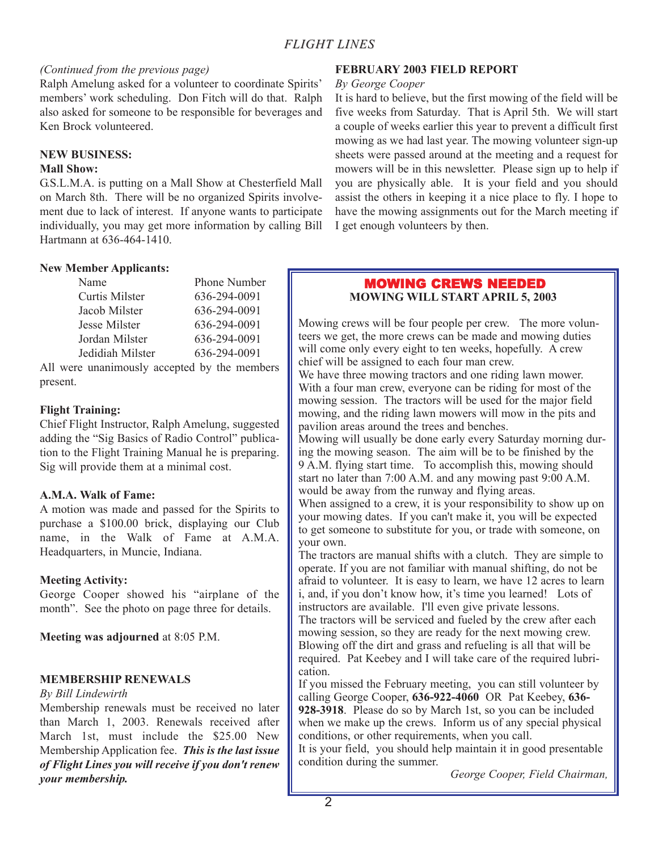#### *(Continued from the previous page)*

Ralph Amelung asked for a volunteer to coordinate Spirits' members' work scheduling. Don Fitch will do that. Ralph also asked for someone to be responsible for beverages and Ken Brock volunteered.

#### **NEW BUSINESS:**

#### **Mall Show:**

G.S.L.M.A. is putting on a Mall Show at Chesterfield Mall on March 8th. There will be no organized Spirits involvement due to lack of interest. If anyone wants to participate individually, you may get more information by calling Bill Hartmann at 636-464-1410.

#### **New Member Applicants:**

| Name             | <b>Phone Number</b> |
|------------------|---------------------|
| Curtis Milster   | 636-294-0091        |
| Jacob Milster    | 636-294-0091        |
| Jesse Milster    | 636-294-0091        |
| Jordan Milster   | 636-294-0091        |
| Jedidiah Milster | 636-294-0091        |

All were unanimously accepted by the members present.

#### **Flight Training:**

Chief Flight Instructor, Ralph Amelung, suggested adding the "Sig Basics of Radio Control" publication to the Flight Training Manual he is preparing. Sig will provide them at a minimal cost.

#### **A.M.A. Walk of Fame:**

A motion was made and passed for the Spirits to purchase a \$100.00 brick, displaying our Club name, in the Walk of Fame at A.M.A. Headquarters, in Muncie, Indiana.

#### **Meeting Activity:**

George Cooper showed his "airplane of the month". See the photo on page three for details.

**Meeting was adjourned** at 8:05 P.M.

#### **MEMBERSHIP RENEWALS**

#### *By Bill Lindewirth*

Membership renewals must be received no later than March 1, 2003. Renewals received after March 1st, must include the \$25.00 New Membership Application fee. *This is the last issue of Flight Lines you will receive if you don't renew your membership.*

#### **FEBRUARY 2003 FIELD REPORT**

#### *By George Cooper*

It is hard to believe, but the first mowing of the field will be five weeks from Saturday. That is April 5th. We will start a couple of weeks earlier this year to prevent a difficult first mowing as we had last year. The mowing volunteer sign-up sheets were passed around at the meeting and a request for mowers will be in this newsletter. Please sign up to help if you are physically able. It is your field and you should assist the others in keeping it a nice place to fly. I hope to have the mowing assignments out for the March meeting if I get enough volunteers by then.

#### MOWING CREWS NEEDED **MOWING WILL START APRIL 5, 2003**

Mowing crews will be four people per crew. The more volunteers we get, the more crews can be made and mowing duties will come only every eight to ten weeks, hopefully. A crew chief will be assigned to each four man crew.

We have three mowing tractors and one riding lawn mower. With a four man crew, everyone can be riding for most of the mowing session. The tractors will be used for the major field mowing, and the riding lawn mowers will mow in the pits and pavilion areas around the trees and benches.

Mowing will usually be done early every Saturday morning during the mowing season. The aim will be to be finished by the 9 A.M. flying start time. To accomplish this, mowing should start no later than 7:00 A.M. and any mowing past 9:00 A.M. would be away from the runway and flying areas.

When assigned to a crew, it is your responsibility to show up on your mowing dates. If you can't make it, you will be expected to get someone to substitute for you, or trade with someone, on your own.

The tractors are manual shifts with a clutch. They are simple to operate. If you are not familiar with manual shifting, do not be afraid to volunteer. It is easy to learn, we have 12 acres to learn i, and, if you don't know how, it's time you learned! Lots of instructors are available. I'll even give private lessons. The tractors will be serviced and fueled by the crew after each mowing session, so they are ready for the next mowing crew. Blowing off the dirt and grass and refueling is all that will be required. Pat Keebey and I will take care of the required lubrication.

If you missed the February meeting, you can still volunteer by calling George Cooper, **636-922-4060** OR Pat Keebey, **636- 928-3918**. Please do so by March 1st, so you can be included when we make up the crews. Inform us of any special physical conditions, or other requirements, when you call.

It is your field, you should help maintain it in good presentable condition during the summer.

*George Cooper, Field Chairman,*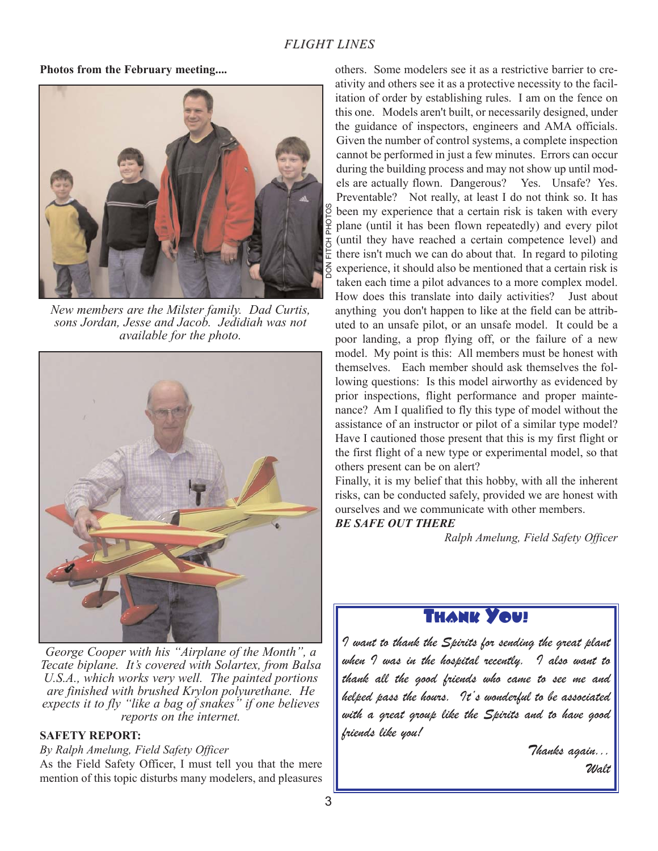**Photos from the February meeting....**



*New members are the Milster family. Dad Curtis, sons Jordan, Jesse and Jacob. Jedidiah was not available for the photo.* 



*George Cooper with his "Airplane of the Month", a Tecate biplane. It's covered with Solartex, from Balsa U.S.A., which works very well. The painted portions are finished with brushed Krylon polyurethane. He expects it to fly "like a bag of snakes" if one believes reports on the internet.*

#### **SAFETY REPORT:**

*By Ralph Amelung, Field Safety Officer*

As the Field Safety Officer, I must tell you that the mere mention of this topic disturbs many modelers, and pleasures

others. Some modelers see it as a restrictive barrier to creativity and others see it as a protective necessity to the facilitation of order by establishing rules. I am on the fence on this one. Models aren't built, or necessarily designed, under the guidance of inspectors, engineers and AMA officials. Given the number of control systems, a complete inspection cannot be performed in just a few minutes. Errors can occur during the building process and may not show up until models are actually flown. Dangerous? Yes. Unsafe? Yes. Preventable? Not really, at least I do not think so. It has been my experience that a certain risk is taken with every plane (until it has been flown repeatedly) and every pilot (until they have reached a certain competence level) and there isn't much we can do about that. In regard to piloting experience, it should also be mentioned that a certain risk is taken each time a pilot advances to a more complex model. How does this translate into daily activities? Just about anything you don't happen to like at the field can be attributed to an unsafe pilot, or an unsafe model. It could be a poor landing, a prop flying off, or the failure of a new model. My point is this: All members must be honest with themselves. Each member should ask themselves the following questions: Is this model airworthy as evidenced by prior inspections, flight performance and proper maintenance? Am I qualified to fly this type of model without the assistance of an instructor or pilot of a similar type model? Have I cautioned those present that this is my first flight or the first flight of a new type or experimental model, so that others present can be on alert?

Finally, it is my belief that this hobby, with all the inherent risks, can be conducted safely, provided we are honest with ourselves and we communicate with other members.

#### *BE SAFE OUT THERE*

*Ralph Amelung, Field Safety Officer*

# Thank You!

*I want to thank the Spirits for sending the great plant when I was in the hospital recently. I also want to thank all the good friends who came to see me and helped pass the hours. It's wonderful to be associated with a great group like the Spirits and to have good friends like you!*

> *Thanks again... Walt*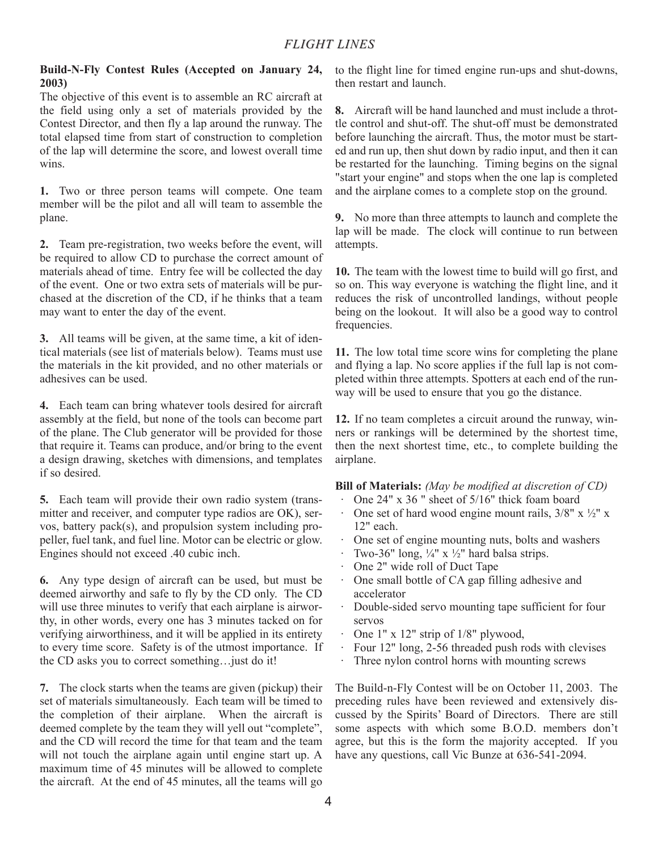#### **Build-N-Fly Contest Rules (Accepted on January 24, 2003)**

The objective of this event is to assemble an RC aircraft at the field using only a set of materials provided by the Contest Director, and then fly a lap around the runway. The total elapsed time from start of construction to completion of the lap will determine the score, and lowest overall time wins.

**1.** Two or three person teams will compete. One team member will be the pilot and all will team to assemble the plane.

**2.** Team pre-registration, two weeks before the event, will be required to allow CD to purchase the correct amount of materials ahead of time. Entry fee will be collected the day of the event. One or two extra sets of materials will be purchased at the discretion of the CD, if he thinks that a team may want to enter the day of the event.

**3.** All teams will be given, at the same time, a kit of identical materials (see list of materials below). Teams must use the materials in the kit provided, and no other materials or adhesives can be used.

**4.** Each team can bring whatever tools desired for aircraft assembly at the field, but none of the tools can become part of the plane. The Club generator will be provided for those that require it. Teams can produce, and/or bring to the event a design drawing, sketches with dimensions, and templates if so desired.

**5.** Each team will provide their own radio system (transmitter and receiver, and computer type radios are OK), servos, battery pack(s), and propulsion system including propeller, fuel tank, and fuel line. Motor can be electric or glow. Engines should not exceed .40 cubic inch.

**6.** Any type design of aircraft can be used, but must be deemed airworthy and safe to fly by the CD only. The CD will use three minutes to verify that each airplane is airworthy, in other words, every one has 3 minutes tacked on for verifying airworthiness, and it will be applied in its entirety to every time score. Safety is of the utmost importance. If the CD asks you to correct something…just do it!

**7.** The clock starts when the teams are given (pickup) their set of materials simultaneously. Each team will be timed to the completion of their airplane. When the aircraft is deemed complete by the team they will yell out "complete", and the CD will record the time for that team and the team will not touch the airplane again until engine start up. A maximum time of 45 minutes will be allowed to complete the aircraft. At the end of 45 minutes, all the teams will go to the flight line for timed engine run-ups and shut-downs, then restart and launch.

**8.** Aircraft will be hand launched and must include a throttle control and shut-off. The shut-off must be demonstrated before launching the aircraft. Thus, the motor must be started and run up, then shut down by radio input, and then it can be restarted for the launching. Timing begins on the signal "start your engine" and stops when the one lap is completed and the airplane comes to a complete stop on the ground.

**9.** No more than three attempts to launch and complete the lap will be made. The clock will continue to run between attempts.

**10.** The team with the lowest time to build will go first, and so on. This way everyone is watching the flight line, and it reduces the risk of uncontrolled landings, without people being on the lookout. It will also be a good way to control frequencies.

**11.** The low total time score wins for completing the plane and flying a lap. No score applies if the full lap is not completed within three attempts. Spotters at each end of the runway will be used to ensure that you go the distance.

**12.** If no team completes a circuit around the runway, winners or rankings will be determined by the shortest time, then the next shortest time, etc., to complete building the airplane.

#### **Bill of Materials:** *(May be modified at discretion of CD)*

- · One 24" x 36 " sheet of 5/16" thick foam board
- One set of hard wood engine mount rails,  $3/8$ " x  $\frac{1}{2}$ " x 12" each.
- · One set of engine mounting nuts, bolts and washers
- Two-36" long,  $\frac{1}{4}$ " x  $\frac{1}{2}$ " hard balsa strips.
- · One 2" wide roll of Duct Tape
- One small bottle of CA gap filling adhesive and accelerator
- · Double-sided servo mounting tape sufficient for four servos
- One  $1''$  x  $12''$  strip of  $1/8''$  plywood,
- Four 12" long, 2-56 threaded push rods with clevises
- Three nylon control horns with mounting screws

The Build-n-Fly Contest will be on October 11, 2003. The preceding rules have been reviewed and extensively discussed by the Spirits' Board of Directors. There are still some aspects with which some B.O.D. members don't agree, but this is the form the majority accepted. If you have any questions, call Vic Bunze at 636-541-2094.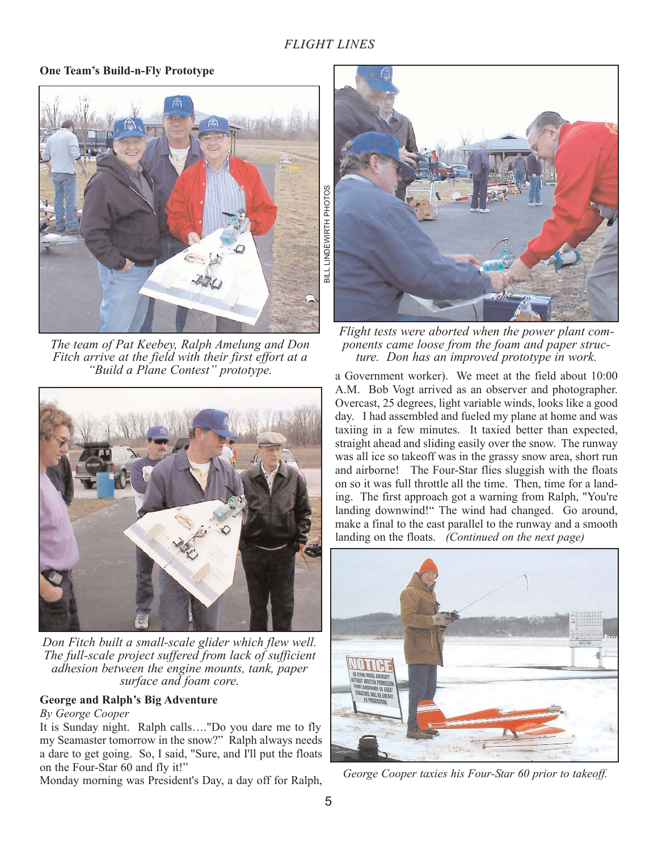### *FLIGHT LINES*

#### **One Team's Build-n-Fly Prototype**



*The team of Pat Keebey, Ralph Amelung and Don Fitch arrive at the field with their first effort at a "Build a Plane Contest" prototype.*



*Don Fitch built a small-scale glider which flew well. The full-scale project suffered from lack of sufficient adhesion between the engine mounts, tank, paper surface and foam core.*

#### **George and Ralph's Big Adventure**

#### *By George Cooper*

It is Sunday night. Ralph calls…."Do you dare me to fly my Seamaster tomorrow in the snow?" Ralph always needs a dare to get going. So, I said, "Sure, and I'll put the floats on the Four-Star 60 and fly it!"

Monday morning was President's Day, a day off for Ralph,



*Flight tests were aborted when the power plant components came loose from the foam and paper structure. Don has an improved prototype in work.*

a Government worker). We meet at the field about 10:00 A.M. Bob Vogt arrived as an observer and photographer. Overcast, 25 degrees, light variable winds, looks like a good day. I had assembled and fueled my plane at home and was taxiing in a few minutes. It taxied better than expected, straight ahead and sliding easily over the snow. The runway was all ice so takeoff was in the grassy snow area, short run and airborne! The Four-Star flies sluggish with the floats on so it was full throttle all the time. Then, time for a landing. The first approach got a warning from Ralph, "You're landing downwind!" The wind had changed. Go around, make a final to the east parallel to the runway and a smooth landing on the floats. *(Continued on the next page)*



*George Cooper taxies his Four-Star 60 prior to takeoff.*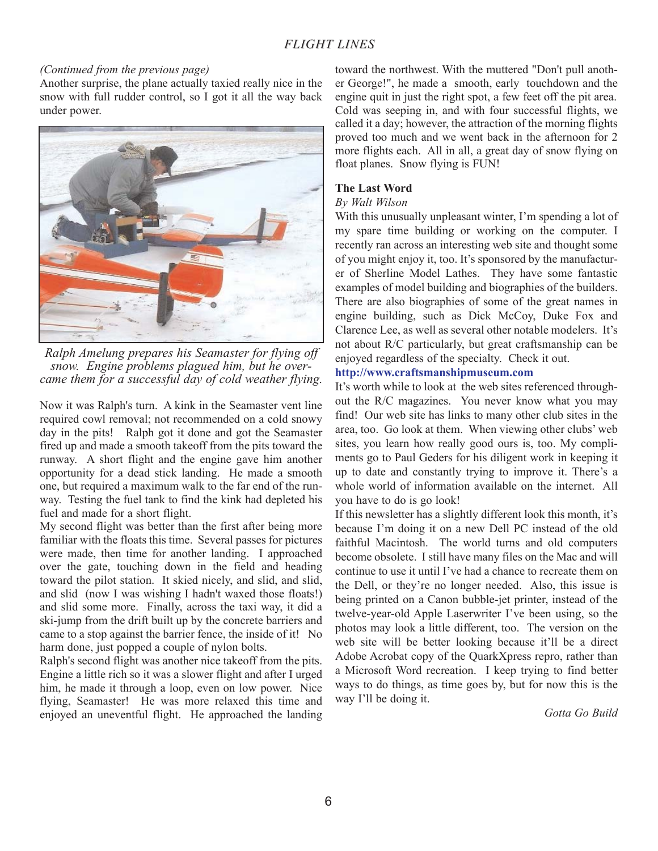#### *(Continued from the previous page)*

Another surprise, the plane actually taxied really nice in the snow with full rudder control, so I got it all the way back under power.



*Ralph Amelung prepares his Seamaster for flying off snow. Engine problems plagued him, but he overcame them for a successful day of cold weather flying.*

Now it was Ralph's turn. A kink in the Seamaster vent line required cowl removal; not recommended on a cold snowy day in the pits! Ralph got it done and got the Seamaster fired up and made a smooth takeoff from the pits toward the runway. A short flight and the engine gave him another opportunity for a dead stick landing. He made a smooth one, but required a maximum walk to the far end of the runway. Testing the fuel tank to find the kink had depleted his fuel and made for a short flight.

My second flight was better than the first after being more familiar with the floats this time. Several passes for pictures were made, then time for another landing. I approached over the gate, touching down in the field and heading toward the pilot station. It skied nicely, and slid, and slid, and slid (now I was wishing I hadn't waxed those floats!) and slid some more. Finally, across the taxi way, it did a ski-jump from the drift built up by the concrete barriers and came to a stop against the barrier fence, the inside of it! No harm done, just popped a couple of nylon bolts.

Ralph's second flight was another nice takeoff from the pits. Engine a little rich so it was a slower flight and after I urged him, he made it through a loop, even on low power. Nice flying, Seamaster! He was more relaxed this time and enjoyed an uneventful flight. He approached the landing

toward the northwest. With the muttered "Don't pull another George!", he made a smooth, early touchdown and the engine quit in just the right spot, a few feet off the pit area. Cold was seeping in, and with four successful flights, we called it a day; however, the attraction of the morning flights proved too much and we went back in the afternoon for 2 more flights each. All in all, a great day of snow flying on float planes. Snow flying is FUN!

#### **The Last Word**

#### *By Walt Wilson*

With this unusually unpleasant winter, I'm spending a lot of my spare time building or working on the computer. I recently ran across an interesting web site and thought some of you might enjoy it, too. It's sponsored by the manufacturer of Sherline Model Lathes. They have some fantastic examples of model building and biographies of the builders. There are also biographies of some of the great names in engine building, such as Dick McCoy, Duke Fox and Clarence Lee, as well as several other notable modelers. It's not about R/C particularly, but great craftsmanship can be enjoyed regardless of the specialty. Check it out.

#### **http://www.craftsmanshipmuseum.com**

It's worth while to look at the web sites referenced throughout the R/C magazines. You never know what you may find! Our web site has links to many other club sites in the area, too. Go look at them. When viewing other clubs' web sites, you learn how really good ours is, too. My compliments go to Paul Geders for his diligent work in keeping it up to date and constantly trying to improve it. There's a whole world of information available on the internet. All you have to do is go look!

If this newsletter has a slightly different look this month, it's because I'm doing it on a new Dell PC instead of the old faithful Macintosh. The world turns and old computers become obsolete. I still have many files on the Mac and will continue to use it until I've had a chance to recreate them on the Dell, or they're no longer needed. Also, this issue is being printed on a Canon bubble-jet printer, instead of the twelve-year-old Apple Laserwriter I've been using, so the photos may look a little different, too. The version on the web site will be better looking because it'll be a direct Adobe Acrobat copy of the QuarkXpress repro, rather than a Microsoft Word recreation. I keep trying to find better ways to do things, as time goes by, but for now this is the way I'll be doing it.

*Gotta Go Build*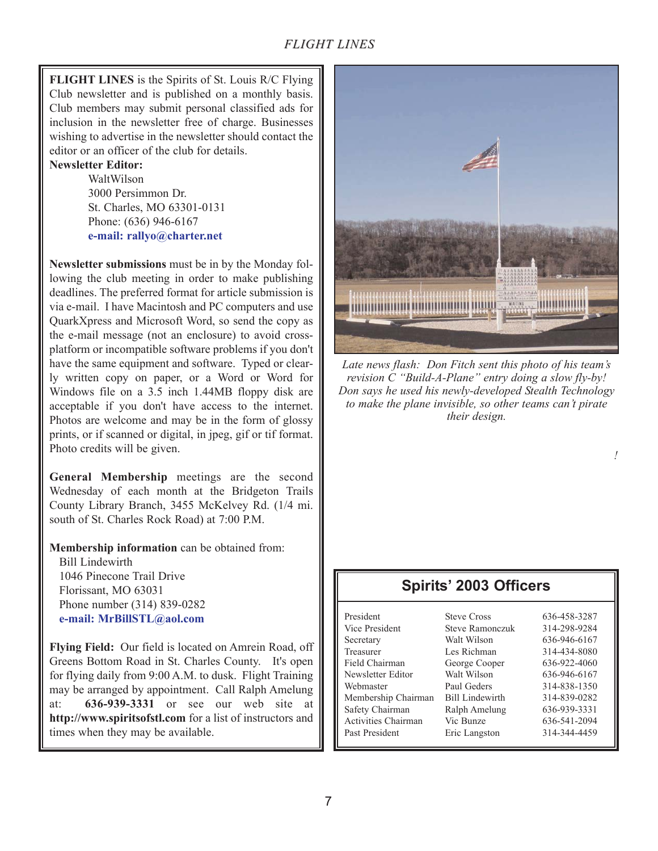## *FLIGHT LINES*

**FLIGHT LINES** is the Spirits of St. Louis R/C Flying Club newsletter and is published on a monthly basis. Club members may submit personal classified ads for inclusion in the newsletter free of charge. Businesses wishing to advertise in the newsletter should contact the editor or an officer of the club for details.

#### **Newsletter Editor:**

WaltWilson 3000 Persimmon Dr. St. Charles, MO 63301-0131 Phone: (636) 946-6167 **e-mail: rallyo@charter.net**

**Newsletter submissions** must be in by the Monday following the club meeting in order to make publishing deadlines. The preferred format for article submission is via e-mail. I have Macintosh and PC computers and use QuarkXpress and Microsoft Word, so send the copy as the e-mail message (not an enclosure) to avoid crossplatform or incompatible software problems if you don't have the same equipment and software. Typed or clearly written copy on paper, or a Word or Word for Windows file on a 3.5 inch 1.44MB floppy disk are acceptable if you don't have access to the internet. Photos are welcome and may be in the form of glossy prints, or if scanned or digital, in jpeg, gif or tif format. Photo credits will be given.

**General Membership** meetings are the second Wednesday of each month at the Bridgeton Trails County Library Branch, 3455 McKelvey Rd. (1/4 mi. south of St. Charles Rock Road) at 7:00 P.M.

**Membership information** can be obtained from:

Bill Lindewirth 1046 Pinecone Trail Drive Florissant, MO 63031 Phone number (314) 839-0282 **e-mail: MrBillSTL@aol.com**

**Flying Field:** Our field is located on Amrein Road, off Greens Bottom Road in St. Charles County. It's open for flying daily from 9:00 A.M. to dusk. Flight Training may be arranged by appointment. Call Ralph Amelung at: **636-939-3331** or see our web site at **http://www.spiritsofstl.com** for a list of instructors and times when they may be available.



*Late news flash: Don Fitch sent this photo of his team's revision C "Build-A-Plane" entry doing a slow fly-by! Don says he used his newly-developed Stealth Technology to make the plane invisible, so other teams can't pirate their design.*

*!*

## **Spirits' 2003 Officers**

| President           | <b>Steve Cross</b>     | 636-458-3287 |
|---------------------|------------------------|--------------|
| Vice President      | Steve Ramonczuk        | 314-298-9284 |
| Secretary           | Walt Wilson            | 636-946-6167 |
| Treasurer           | Les Richman            | 314-434-8080 |
| Field Chairman      | George Cooper          | 636-922-4060 |
| Newsletter Editor   | Walt Wilson            | 636-946-6167 |
| Webmaster           | Paul Geders            | 314-838-1350 |
| Membership Chairman | <b>Bill Lindewirth</b> | 314-839-0282 |
| Safety Chairman     | Ralph Amelung          | 636-939-3331 |
| Activities Chairman | Vic Bunze              | 636-541-2094 |
| Past President      | Eric Langston          | 314-344-4459 |